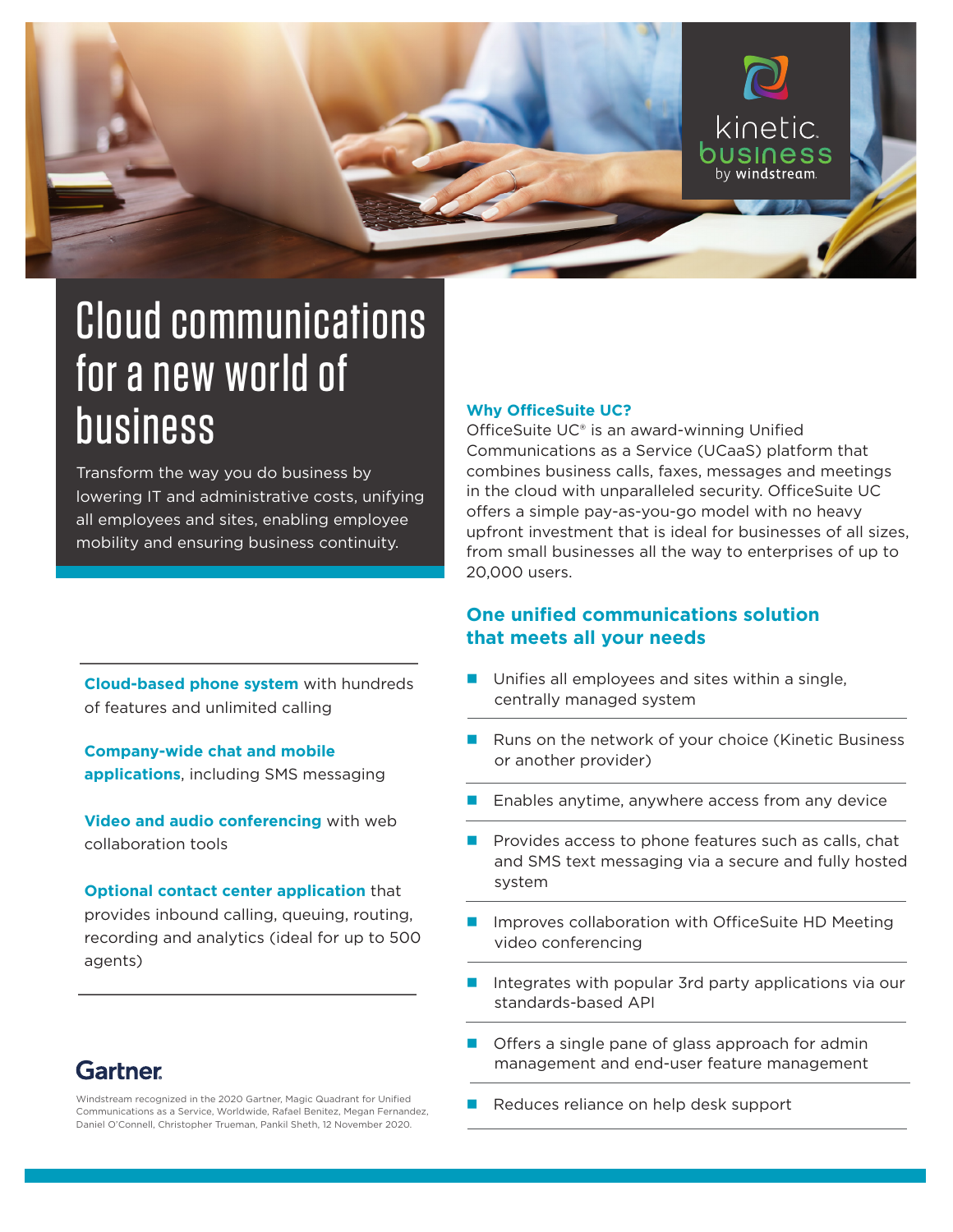

# Cloud communications for a new world of business

Transform the way you do business by lowering IT and administrative costs, unifying all employees and sites, enabling employee mobility and ensuring business continuity.

#### **Why OfficeSuite UC?**

OfficeSuite UC® is an award-winning Unified Communications as a Service (UCaaS) platform that combines business calls, faxes, messages and meetings in the cloud with unparalleled security. OfficeSuite UC offers a simple pay-as-you-go model with no heavy upfront investment that is ideal for businesses of all sizes, from small businesses all the way to enterprises of up to 20,000 users.

### **One unified communications solution that meets all your needs**

 $\blacksquare$  Unifies all employees and sites within a single, centrally managed system

- Runs on the network of your choice (Kinetic Business or another provider)
- Enables anytime, anywhere access from any device
- Provides access to phone features such as calls, chat and SMS text messaging via a secure and fully hosted system
- Improves collaboration with OfficeSuite HD Meeting video conferencing
- Integrates with popular 3rd party applications via our standards-based API
- Offers a single pane of glass approach for admin management and end-user feature management
- 

**Cloud-based phone system** with hundreds of features and unlimited calling

**Company-wide chat and mobile applications**, including SMS messaging

**Video and audio conferencing** with web collaboration tools

**Optional contact center application** that provides inbound calling, queuing, routing, recording and analytics (ideal for up to 500 agents)

### **Gartner**

Windstream recognized in the 2020 Gartner, Magic Quadrant for Unified<br>Communications on Currical Worldwide References to Magne Expenditure Reduces reliance on help desk support Communications as a Service, Worldwide, Rafael Benitez, Megan Fernandez, Daniel O'Connell, Christopher Trueman, Pankil Sheth, 12 November 2020.